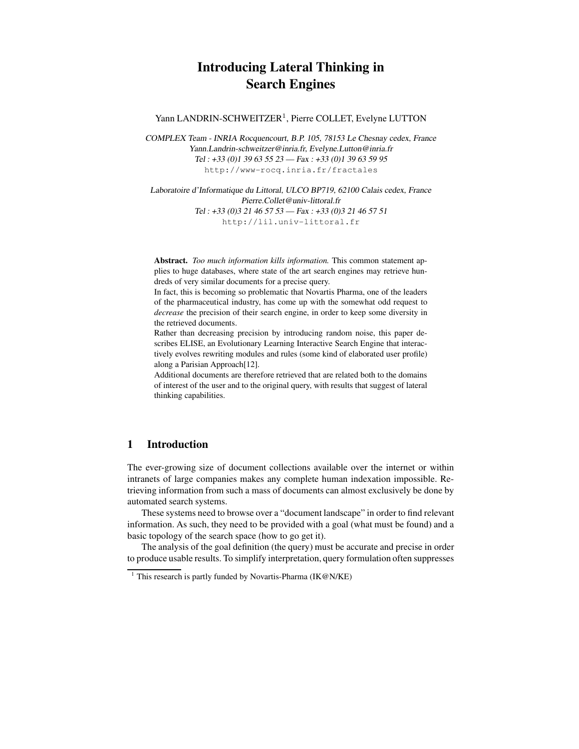# **Introducing Lateral Thinking in Search Engines**

# Yann LANDRIN-SCHWEITZER<sup>1</sup>, Pierre COLLET, Evelyne LUTTON

COMPLEX Team - INRIA Rocquencourt, B.P. 105, 78153 Le Chesnay cedex, France Yann.Landrin-schweitzer@inria.fr, Evelyne.Lutton@inria.fr Tel : +33 (0)1 39 63 55 23 — Fax : +33 (0)1 39 63 59 95 http://www-rocq.inria.fr/fractales

Laboratoire d'Informatique du Littoral, ULCO BP719, 62100 Calais cedex, France Pierre.Collet@univ-littoral.fr Tel : +33 (0)3 21 46 57 53 — Fax : +33 (0)3 21 46 57 51 http://lil.univ-littoral.fr

**Abstract.** *Too much information kills information.* This common statement applies to huge databases, where state of the art search engines may retrieve hundreds of very similar documents for a precise query.

In fact, this is becoming so problematic that Novartis Pharma, one of the leaders of the pharmaceutical industry, has come up with the somewhat odd request to *decrease* the precision of their search engine, in order to keep some diversity in the retrieved documents.

Rather than decreasing precision by introducing random noise, this paper describes ELISE, an Evolutionary Learning Interactive Search Engine that interactively evolves rewriting modules and rules (some kind of elaborated user profile) along a Parisian Approach[12].

Additional documents are therefore retrieved that are related both to the domains of interest of the user and to the original query, with results that suggest of lateral thinking capabilities.

# **1 Introduction**

The ever-growing size of document collections available over the internet or within intranets of large companies makes any complete human indexation impossible. Retrieving information from such a mass of documents can almost exclusively be done by automated search systems.

These systems need to browse over a "document landscape" in order to find relevant information. As such, they need to be provided with a goal (what must be found) and a basic topology of the search space (how to go get it).

The analysis of the goal definition (the query) must be accurate and precise in order to produce usable results. To simplify interpretation, query formulation often suppresses

<sup>&</sup>lt;sup>1</sup> This research is partly funded by Novartis-Pharma (IK@N/KE)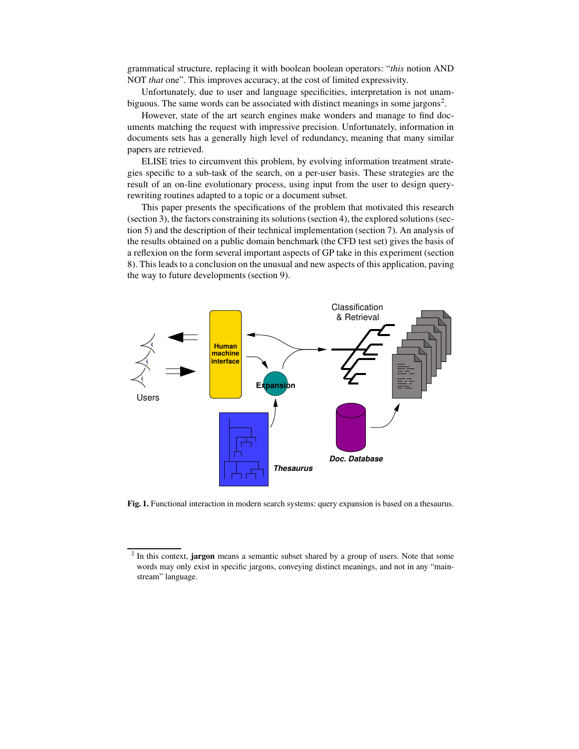grammatical structure, replacing it with boolean boolean operators: "*this* notion AND NOT *that* one". This improves accuracy, at the cost of limited expressivity.

Unfortunately, due to user and language specificities, interpretation is not unambiguous. The same words can be associated with distinct meanings in some jargons<sup>2</sup>.

However, state of the art search engines make wonders and manage to find documents matching the request with impressive precision. Unfortunately, information in documents sets has a generally high level of redundancy, meaning that many similar papers are retrieved.

ELISE tries to circumvent this problem, by evolving information treatment strategies specific to a sub-task of the search, on a per-user basis. These strategies are the result of an on-line evolutionary process, using input from the user to design queryrewriting routines adapted to a topic or a document subset.

This paper presents the specifications of the problem that motivated this research (section 3), the factors constraining its solutions (section 4), the explored solutions (section 5) and the description of their technical implementation (section 7). An analysis of the results obtained on a public domain benchmark (the CFD test set) gives the basis of a reflexion on the form several important aspects of GP take in this experiment (section 8). This leads to a conclusion on the unusual and new aspects of this application, paving the way to future developments (section 9).



**Fig. 1.** Functional interaction in modern search systems: query expansion is based on a thesaurus.

<sup>2</sup> In this context, **jargon** means a semantic subset shared by a group of users. Note that some words may only exist in specific jargons, conveying distinct meanings, and not in any "mainstream" language.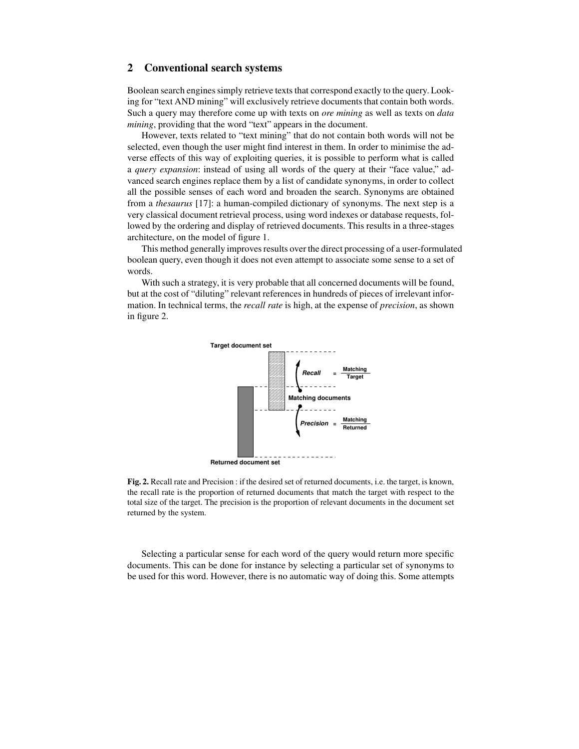# **2 Conventional search systems**

Boolean search engines simply retrieve texts that correspond exactly to the query. Looking for "text AND mining" will exclusively retrieve documents that contain both words. Such a query may therefore come up with texts on *ore mining* as well as texts on *data mining*, providing that the word "text" appears in the document.

However, texts related to "text mining" that do not contain both words will not be selected, even though the user might find interest in them. In order to minimise the adverse effects of this way of exploiting queries, it is possible to perform what is called a *query expansion*: instead of using all words of the query at their "face value," advanced search engines replace them by a list of candidate synonyms, in order to collect all the possible senses of each word and broaden the search. Synonyms are obtained from a *thesaurus* [17]: a human-compiled dictionary of synonyms. The next step is a very classical document retrieval process, using word indexes or database requests, followed by the ordering and display of retrieved documents. This results in a three-stages architecture, on the model of figure 1.

This method generally improves results over the direct processing of a user-formulated boolean query, even though it does not even attempt to associate some sense to a set of words.

With such a strategy, it is very probable that all concerned documents will be found, but at the cost of "diluting" relevant references in hundreds of pieces of irrelevant information. In technical terms, the *recall rate* is high, at the expense of *precision*, as shown in figure 2.



**Fig. 2.** Recall rate and Precision : if the desired set of returned documents, i.e. the target, is known, the recall rate is the proportion of returned documents that match the target with respect to the total size of the target. The precision is the proportion of relevant documents in the document set returned by the system.

Selecting a particular sense for each word of the query would return more specific documents. This can be done for instance by selecting a particular set of synonyms to be used for this word. However, there is no automatic way of doing this. Some attempts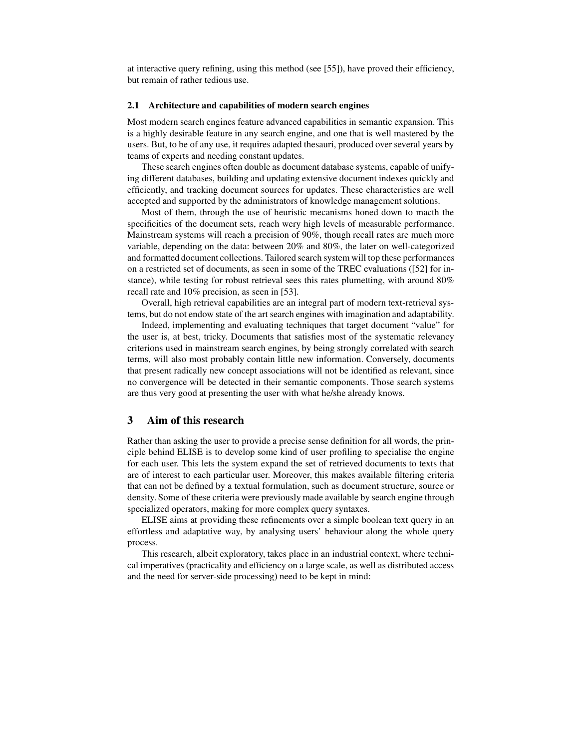at interactive query refining, using this method (see [55]), have proved their efficiency, but remain of rather tedious use.

#### **2.1 Architecture and capabilities of modern search engines**

Most modern search engines feature advanced capabilities in semantic expansion. This is a highly desirable feature in any search engine, and one that is well mastered by the users. But, to be of any use, it requires adapted thesauri, produced over several years by teams of experts and needing constant updates.

These search engines often double as document database systems, capable of unifying different databases, building and updating extensive document indexes quickly and efficiently, and tracking document sources for updates. These characteristics are well accepted and supported by the administrators of knowledge management solutions.

Most of them, through the use of heuristic mecanisms honed down to macth the specificities of the document sets, reach wery high levels of measurable performance. Mainstream systems will reach a precision of 90%, though recall rates are much more variable, depending on the data: between 20% and 80%, the later on well-categorized and formatted document collections. Tailored search system will top these performances on a restricted set of documents, as seen in some of the TREC evaluations ([52] for instance), while testing for robust retrieval sees this rates plumetting, with around 80% recall rate and 10% precision, as seen in [53].

Overall, high retrieval capabilities are an integral part of modern text-retrieval systems, but do not endow state of the art search engines with imagination and adaptability.

Indeed, implementing and evaluating techniques that target document "value" for the user is, at best, tricky. Documents that satisfies most of the systematic relevancy criterions used in mainstream search engines, by being strongly correlated with search terms, will also most probably contain little new information. Conversely, documents that present radically new concept associations will not be identified as relevant, since no convergence will be detected in their semantic components. Those search systems are thus very good at presenting the user with what he/she already knows.

# **3 Aim of this research**

Rather than asking the user to provide a precise sense definition for all words, the principle behind ELISE is to develop some kind of user profiling to specialise the engine for each user. This lets the system expand the set of retrieved documents to texts that are of interest to each particular user. Moreover, this makes available filtering criteria that can not be defined by a textual formulation, such as document structure, source or density. Some of these criteria were previously made available by search engine through specialized operators, making for more complex query syntaxes.

ELISE aims at providing these refinements over a simple boolean text query in an effortless and adaptative way, by analysing users' behaviour along the whole query process.

This research, albeit exploratory, takes place in an industrial context, where technical imperatives (practicality and efficiency on a large scale, as well as distributed access and the need for server-side processing) need to be kept in mind: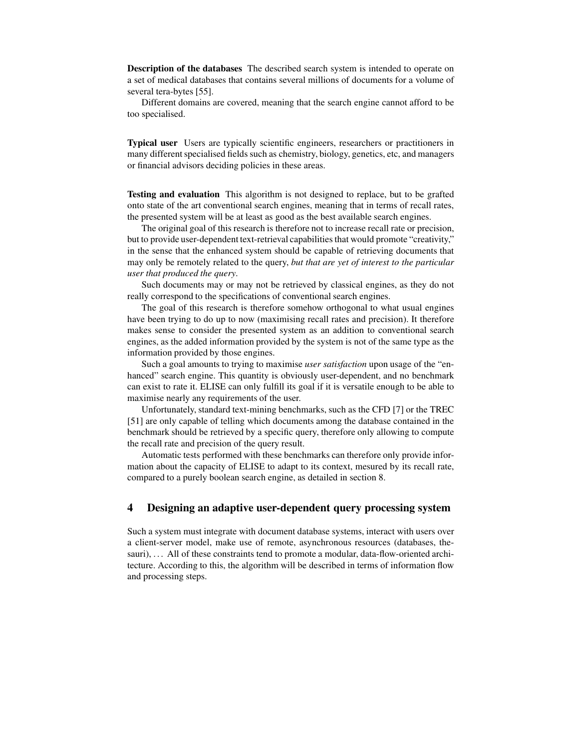**Description of the databases** The described search system is intended to operate on a set of medical databases that contains several millions of documents for a volume of several tera-bytes [55].

Different domains are covered, meaning that the search engine cannot afford to be too specialised.

**Typical user** Users are typically scientific engineers, researchers or practitioners in many different specialised fields such as chemistry, biology, genetics, etc, and managers or financial advisors deciding policies in these areas.

**Testing and evaluation** This algorithm is not designed to replace, but to be grafted onto state of the art conventional search engines, meaning that in terms of recall rates, the presented system will be at least as good as the best available search engines.

The original goal of this research is therefore not to increase recall rate or precision, but to provide user-dependent text-retrieval capabilities that would promote "creativity," in the sense that the enhanced system should be capable of retrieving documents that may only be remotely related to the query, *but that are yet of interest to the particular user that produced the query*.

Such documents may or may not be retrieved by classical engines, as they do not really correspond to the specifications of conventional search engines.

The goal of this research is therefore somehow orthogonal to what usual engines have been trying to do up to now (maximising recall rates and precision). It therefore makes sense to consider the presented system as an addition to conventional search engines, as the added information provided by the system is not of the same type as the information provided by those engines.

Such a goal amounts to trying to maximise *user satisfaction* upon usage of the "enhanced" search engine. This quantity is obviously user-dependent, and no benchmark can exist to rate it. ELISE can only fulfill its goal if it is versatile enough to be able to maximise nearly any requirements of the user.

Unfortunately, standard text-mining benchmarks, such as the CFD [7] or the TREC [51] are only capable of telling which documents among the database contained in the benchmark should be retrieved by a specific query, therefore only allowing to compute the recall rate and precision of the query result.

Automatic tests performed with these benchmarks can therefore only provide information about the capacity of ELISE to adapt to its context, mesured by its recall rate, compared to a purely boolean search engine, as detailed in section 8.

# **4 Designing an adaptive user-dependent query processing system**

Such a system must integrate with document database systems, interact with users over a client-server model, make use of remote, asynchronous resources (databases, thesauri), ... All of these constraints tend to promote a modular, data-flow-oriented architecture. According to this, the algorithm will be described in terms of information flow and processing steps.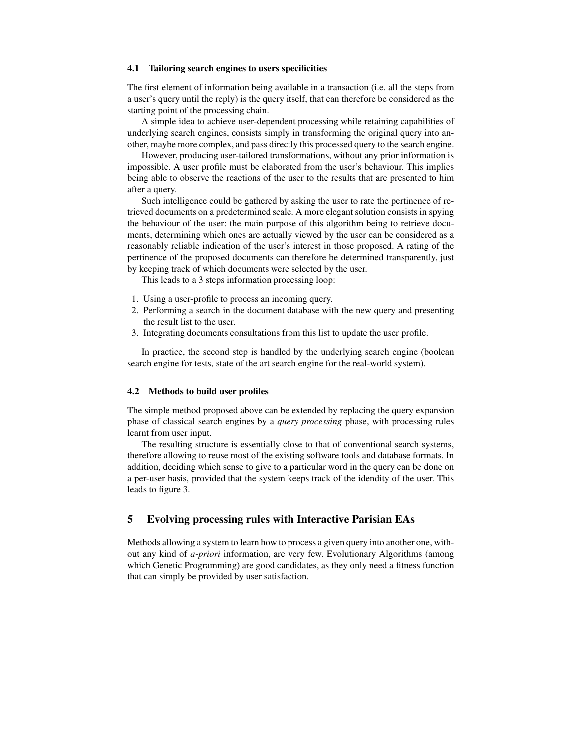#### **4.1 Tailoring search engines to users specificities**

The first element of information being available in a transaction (i.e. all the steps from a user's query until the reply) is the query itself, that can therefore be considered as the starting point of the processing chain.

A simple idea to achieve user-dependent processing while retaining capabilities of underlying search engines, consists simply in transforming the original query into another, maybe more complex, and pass directly this processed query to the search engine.

However, producing user-tailored transformations, without any prior information is impossible. A user profile must be elaborated from the user's behaviour. This implies being able to observe the reactions of the user to the results that are presented to him after a query.

Such intelligence could be gathered by asking the user to rate the pertinence of retrieved documents on a predetermined scale. A more elegant solution consists in spying the behaviour of the user: the main purpose of this algorithm being to retrieve documents, determining which ones are actually viewed by the user can be considered as a reasonably reliable indication of the user's interest in those proposed. A rating of the pertinence of the proposed documents can therefore be determined transparently, just by keeping track of which documents were selected by the user.

This leads to a 3 steps information processing loop:

- 1. Using a user-profile to process an incoming query.
- 2. Performing a search in the document database with the new query and presenting the result list to the user.
- 3. Integrating documents consultations from this list to update the user profile.

In practice, the second step is handled by the underlying search engine (boolean search engine for tests, state of the art search engine for the real-world system).

#### **4.2 Methods to build user profiles**

The simple method proposed above can be extended by replacing the query expansion phase of classical search engines by a *query processing* phase, with processing rules learnt from user input.

The resulting structure is essentially close to that of conventional search systems, therefore allowing to reuse most of the existing software tools and database formats. In addition, deciding which sense to give to a particular word in the query can be done on a per-user basis, provided that the system keeps track of the idendity of the user. This leads to figure 3.

# **5 Evolving processing rules with Interactive Parisian EAs**

Methods allowing a system to learn how to process a given query into another one, without any kind of *a-priori* information, are very few. Evolutionary Algorithms (among which Genetic Programming) are good candidates, as they only need a fitness function that can simply be provided by user satisfaction.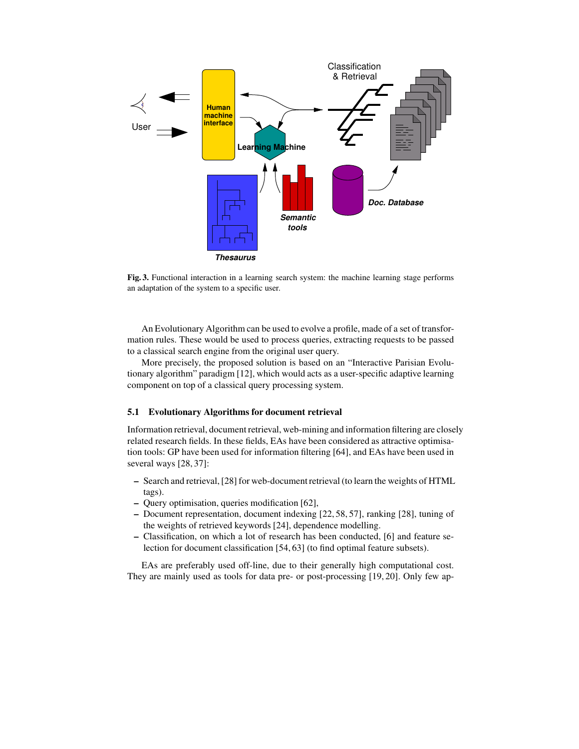

**Fig. 3.** Functional interaction in a learning search system: the machine learning stage performs an adaptation of the system to a specific user.

An Evolutionary Algorithm can be used to evolve a profile, made of a set of transformation rules. These would be used to process queries, extracting requests to be passed to a classical search engine from the original user query.

More precisely, the proposed solution is based on an "Interactive Parisian Evolutionary algorithm" paradigm [12], which would acts as a user-specific adaptive learning component on top of a classical query processing system.

#### **5.1 Evolutionary Algorithms for document retrieval**

Information retrieval, document retrieval, web-mining and information filtering are closely related research fields. In these fields, EAs have been considered as attractive optimisation tools: GP have been used for information filtering [64], and EAs have been used in several ways [28, 37]:

- **–** Search and retrieval, [28] for web-documentretrieval (to learn the weights of HTML tags).
- **–** Query optimisation, queries modification [62],
- **–** Document representation, document indexing [22, 58, 57], ranking [28], tuning of the weights of retrieved keywords [24], dependence modelling.
- **–** Classification, on which a lot of research has been conducted, [6] and feature selection for document classification [54, 63] (to find optimal feature subsets).

EAs are preferably used off-line, due to their generally high computational cost. They are mainly used as tools for data pre- or post-processing [19, 20]. Only few ap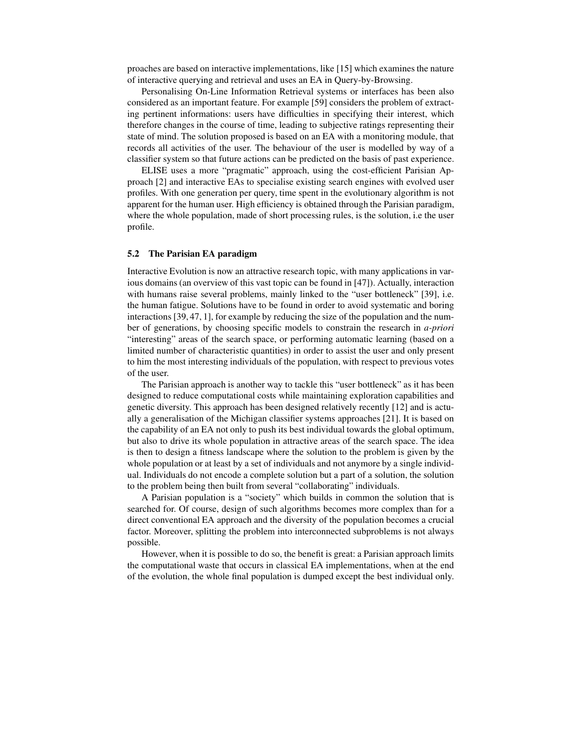proaches are based on interactive implementations, like [15] which examines the nature of interactive querying and retrieval and uses an EA in Query-by-Browsing.

Personalising On-Line Information Retrieval systems or interfaces has been also considered as an important feature. For example [59] considers the problem of extracting pertinent informations: users have difficulties in specifying their interest, which therefore changes in the course of time, leading to subjective ratings representing their state of mind. The solution proposed is based on an EA with a monitoring module, that records all activities of the user. The behaviour of the user is modelled by way of a classifier system so that future actions can be predicted on the basis of past experience.

ELISE uses a more "pragmatic" approach, using the cost-efficient Parisian Approach [2] and interactive EAs to specialise existing search engines with evolved user profiles. With one generation per query, time spent in the evolutionary algorithm is not apparent for the human user. High efficiency is obtained through the Parisian paradigm, where the whole population, made of short processing rules, is the solution, i.e the user profile.

#### **5.2 The Parisian EA paradigm**

Interactive Evolution is now an attractive research topic, with many applications in various domains (an overview of this vast topic can be found in [47]). Actually, interaction with humans raise several problems, mainly linked to the "user bottleneck" [39], i.e. the human fatigue. Solutions have to be found in order to avoid systematic and boring interactions [39, 47, 1], for example by reducing the size of the population and the number of generations, by choosing specific models to constrain the research in *a-priori* "interesting" areas of the search space, or performing automatic learning (based on a limited number of characteristic quantities) in order to assist the user and only present to him the most interesting individuals of the population, with respect to previous votes of the user.

The Parisian approach is another way to tackle this "user bottleneck" as it has been designed to reduce computational costs while maintaining exploration capabilities and genetic diversity. This approach has been designed relatively recently [12] and is actually a generalisation of the Michigan classifier systems approaches [21]. It is based on the capability of an EA not only to push its best individual towards the global optimum, but also to drive its whole population in attractive areas of the search space. The idea is then to design a fitness landscape where the solution to the problem is given by the whole population or at least by a set of individuals and not anymore by a single individual. Individuals do not encode a complete solution but a part of a solution, the solution to the problem being then built from several "collaborating" individuals.

A Parisian population is a "society" which builds in common the solution that is searched for. Of course, design of such algorithms becomes more complex than for a direct conventional EA approach and the diversity of the population becomes a crucial factor. Moreover, splitting the problem into interconnected subproblems is not always possible.

However, when it is possible to do so, the benefit is great: a Parisian approach limits the computational waste that occurs in classical EA implementations, when at the end of the evolution, the whole final population is dumped except the best individual only.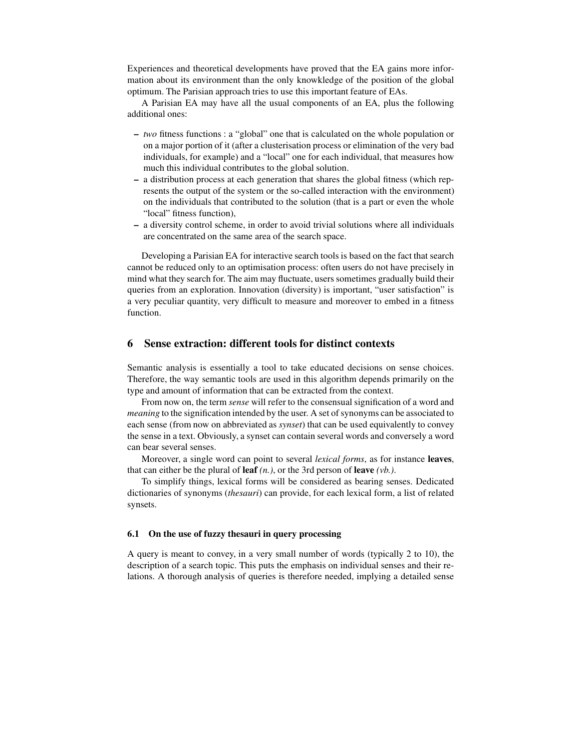Experiences and theoretical developments have proved that the EA gains more information about its environment than the only knowkledge of the position of the global optimum. The Parisian approach tries to use this important feature of EAs.

A Parisian EA may have all the usual components of an EA, plus the following additional ones:

- **–** *two* fitness functions : a "global" one that is calculated on the whole population or on a major portion of it (after a clusterisation process or elimination of the very bad individuals, for example) and a "local" one for each individual, that measures how much this individual contributes to the global solution.
- **–** a distribution process at each generation that shares the global fitness (which represents the output of the system or the so-called interaction with the environment) on the individuals that contributed to the solution (that is a part or even the whole "local" fitness function),
- **–** a diversity control scheme, in order to avoid trivial solutions where all individuals are concentrated on the same area of the search space.

Developing a Parisian EA for interactive search tools is based on the fact that search cannot be reduced only to an optimisation process: often users do not have precisely in mind what they search for. The aim may fluctuate, users sometimes gradually build their queries from an exploration. Innovation (diversity) is important, "user satisfaction" is a very peculiar quantity, very difficult to measure and moreover to embed in a fitness function.

# **6 Sense extraction: different tools for distinct contexts**

Semantic analysis is essentially a tool to take educated decisions on sense choices. Therefore, the way semantic tools are used in this algorithm depends primarily on the type and amount of information that can be extracted from the context.

From now on, the term *sense* will refer to the consensual signification of a word and *meaning* to the signification intended by the user. A set of synonyms can be associated to each sense (from now on abbreviated as *synset*) that can be used equivalently to convey the sense in a text. Obviously, a synset can contain several words and conversely a word can bear several senses.

Moreover, a single word can point to several *lexical forms*, as for instance **leaves**, that can either be the plural of **leaf** *(n.)*, or the 3rd person of **leave** *(vb.)*.

To simplify things, lexical forms will be considered as bearing senses. Dedicated dictionaries of synonyms (*thesauri*) can provide, for each lexical form, a list of related synsets.

#### **6.1 On the use of fuzzy thesauri in query processing**

A query is meant to convey, in a very small number of words (typically 2 to 10), the description of a search topic. This puts the emphasis on individual senses and their relations. A thorough analysis of queries is therefore needed, implying a detailed sense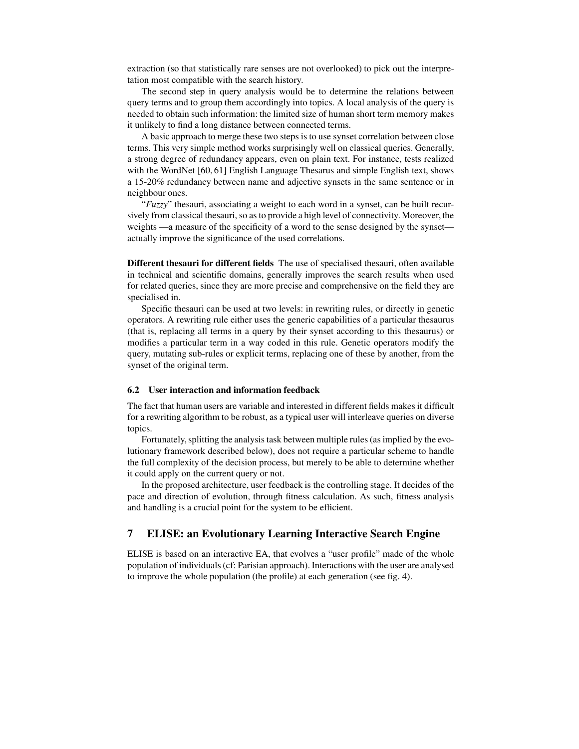extraction (so that statistically rare senses are not overlooked) to pick out the interpretation most compatible with the search history.

The second step in query analysis would be to determine the relations between query terms and to group them accordingly into topics. A local analysis of the query is needed to obtain such information: the limited size of human short term memory makes it unlikely to find a long distance between connected terms.

A basic approach to merge these two steps is to use synset correlation between close terms. This very simple method works surprisingly well on classical queries. Generally, a strong degree of redundancy appears, even on plain text. For instance, tests realized with the WordNet [60, 61] English Language Thesarus and simple English text, shows a 15-20% redundancy between name and adjective synsets in the same sentence or in neighbour ones.

"*Fuzzy*" thesauri, associating a weight to each word in a synset, can be built recursively from classical thesauri, so as to provide a high level of connectivity. Moreover, the weights —a measure of the specificity of a word to the sense designed by the synset actually improve the significance of the used correlations.

**Different thesauri for different fields** The use of specialised thesauri, often available in technical and scientific domains, generally improves the search results when used for related queries, since they are more precise and comprehensive on the field they are specialised in.

Specific thesauri can be used at two levels: in rewriting rules, or directly in genetic operators. A rewriting rule either uses the generic capabilities of a particular thesaurus (that is, replacing all terms in a query by their synset according to this thesaurus) or modifies a particular term in a way coded in this rule. Genetic operators modify the query, mutating sub-rules or explicit terms, replacing one of these by another, from the synset of the original term.

#### **6.2 User interaction and information feedback**

The fact that human users are variable and interested in different fields makes it difficult for a rewriting algorithm to be robust, as a typical user will interleave queries on diverse topics.

Fortunately, splitting the analysis task between multiple rules (as implied by the evolutionary framework described below), does not require a particular scheme to handle the full complexity of the decision process, but merely to be able to determine whether it could apply on the current query or not.

In the proposed architecture, user feedback is the controlling stage. It decides of the pace and direction of evolution, through fitness calculation. As such, fitness analysis and handling is a crucial point for the system to be efficient.

# **7 ELISE: an Evolutionary Learning Interactive Search Engine**

ELISE is based on an interactive EA, that evolves a "user profile" made of the whole population of individuals(cf: Parisian approach). Interactions with the user are analysed to improve the whole population (the profile) at each generation (see fig. 4).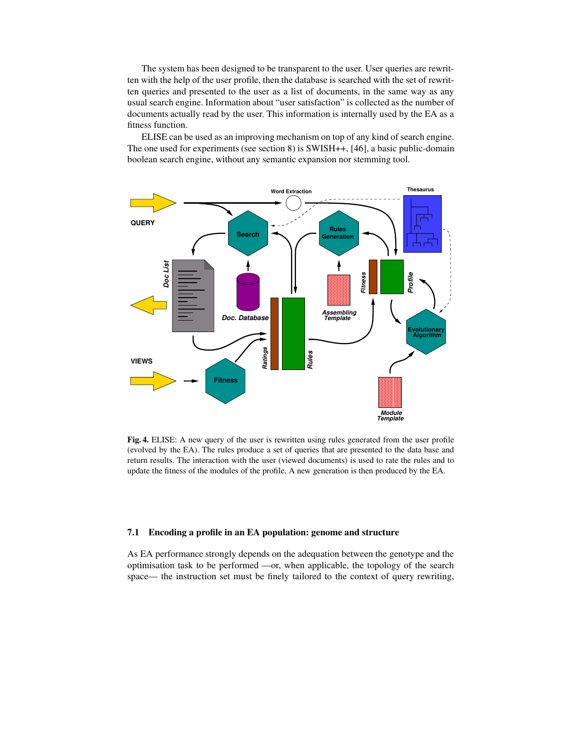The system has been designed to be transparent to the user. User queries are rewritten with the help of the user profile, then the database is searched with the set of rewritten queries and presented to the user as a list of documents, in the same way as any usual search engine. Information about "user satisfaction" is collected as the number of documents actually read by the user. This information is internally used by the EA as a fitness function.

ELISE can be used as an improving mechanism on top of any kind of search engine. The one used for experiments (see section 8) is SWISH++, [46], a basic public-domain boolean search engine, without any semantic expansion nor stemming tool.



**Fig. 4.** ELISE: A new query of the user is rewritten using rules generated from the user profile (evolved by the EA). The rules produce a set of queries that are presented to the data base and return results. The interaction with the user (viewed documents) is used to rate the rules and to update the fitness of the modules of the profile. A new generation is then produced by the EA.

#### **7.1 Encoding a profile in an EA population: genome and structure**

As EA performance strongly depends on the adequation between the genotype and the optimisation task to be performed —or, when applicable, the topology of the search space— the instruction set must be finely tailored to the context of query rewriting,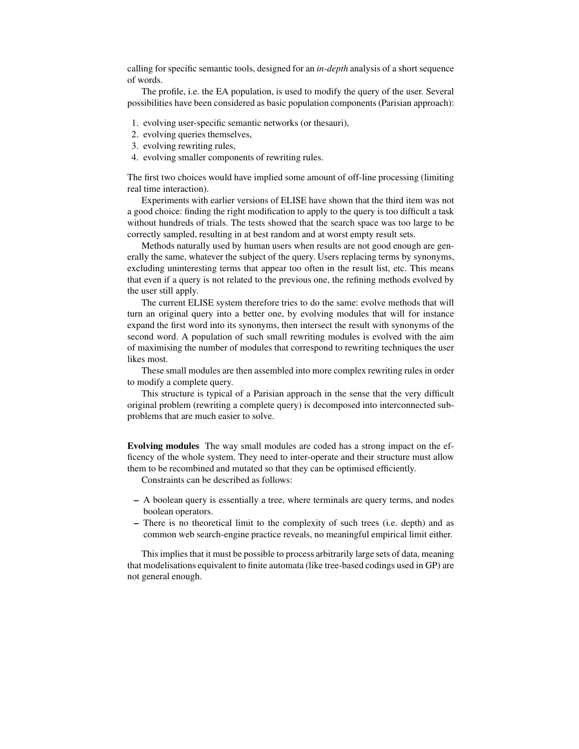calling for specific semantic tools, designed for an *in-depth* analysis of a short sequence of words.

The profile, i.e. the EA population, is used to modify the query of the user. Several possibilities have been considered as basic population components (Parisian approach):

- 1. evolving user-specific semantic networks (or thesauri),
- 2. evolving queries themselves,
- 3. evolving rewriting rules,
- 4. evolving smaller components of rewriting rules.

The first two choices would have implied some amount of off-line processing (limiting real time interaction).

Experiments with earlier versions of ELISE have shown that the third item was not a good choice: finding the right modification to apply to the query is too difficult a task without hundreds of trials. The tests showed that the search space was too large to be correctly sampled, resulting in at best random and at worst empty result sets.

Methods naturally used by human users when results are not good enough are generally the same, whatever the subject of the query. Users replacing terms by synonyms, excluding uninteresting terms that appear too often in the result list, etc. This means that even if a query is not related to the previous one, the refining methods evolved by the user still apply.

The current ELISE system therefore tries to do the same: evolve methods that will turn an original query into a better one, by evolving modules that will for instance expand the first word into its synonyms, then intersect the result with synonyms of the second word. A population of such small rewriting modules is evolved with the aim of maximising the number of modules that correspond to rewriting techniques the user likes most.

These small modules are then assembled into more complex rewriting rules in order to modify a complete query.

This structure is typical of a Parisian approach in the sense that the very difficult original problem (rewriting a complete query) is decomposed into interconnected subproblems that are much easier to solve.

**Evolving modules** The way small modules are coded has a strong impact on the efficency of the whole system. They need to inter-operate and their structure must allow them to be recombined and mutated so that they can be optimised efficiently.

Constraints can be described as follows:

- **–** A boolean query is essentially a tree, where terminals are query terms, and nodes boolean operators.
- **–** There is no theoretical limit to the complexity of such trees (i.e. depth) and as common web search-engine practice reveals, no meaningful empirical limit either.

This implies that it must be possible to process arbitrarily large sets of data, meaning that modelisations equivalent to finite automata (like tree-based codings used in GP) are not general enough.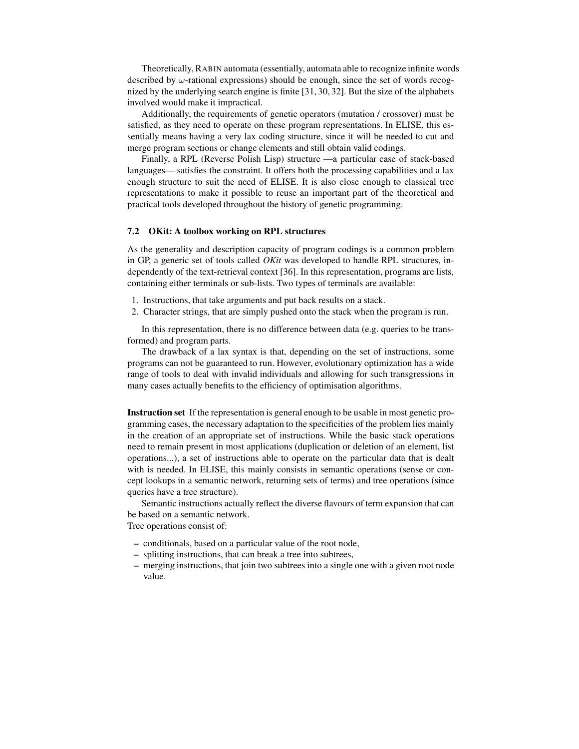Theoretically, RABIN automata (essentially, automata able to recognize infinite words described by  $\omega$ -rational expressions) should be enough, since the set of words recognized by the underlying search engine is finite [31, 30, 32]. But the size of the alphabets involved would make it impractical.

Additionally, the requirements of genetic operators (mutation / crossover) must be satisfied, as they need to operate on these program representations. In ELISE, this essentially means having a very lax coding structure, since it will be needed to cut and merge program sections or change elements and still obtain valid codings.

Finally, a RPL (Reverse Polish Lisp) structure —a particular case of stack-based languages— satisfies the constraint. It offers both the processing capabilities and a lax enough structure to suit the need of ELISE. It is also close enough to classical tree representations to make it possible to reuse an important part of the theoretical and practical tools developed throughout the history of genetic programming.

#### **7.2 OKit: A toolbox working on RPL structures**

As the generality and description capacity of program codings is a common problem in GP, a generic set of tools called *OKit* was developed to handle RPL structures, independently of the text-retrieval context [36]. In this representation, programs are lists, containing either terminals or sub-lists. Two types of terminals are available:

- 1. Instructions, that take arguments and put back results on a stack.
- 2. Character strings, that are simply pushed onto the stack when the program is run.

In this representation, there is no difference between data (e.g. queries to be transformed) and program parts.

The drawback of a lax syntax is that, depending on the set of instructions, some programs can not be guaranteed to run. However, evolutionary optimization has a wide range of tools to deal with invalid individuals and allowing for such transgressions in many cases actually benefits to the efficiency of optimisation algorithms.

**Instruction set** If the representation is general enough to be usable in most genetic programming cases, the necessary adaptation to the specificities of the problem lies mainly in the creation of an appropriate set of instructions. While the basic stack operations need to remain present in most applications (duplication or deletion of an element, list operations...), a set of instructions able to operate on the particular data that is dealt with is needed. In ELISE, this mainly consists in semantic operations (sense or concept lookups in a semantic network, returning sets of terms) and tree operations (since queries have a tree structure).

Semantic instructions actually reflect the diverse flavours of term expansion that can be based on a semantic network.

Tree operations consist of:

- **–** conditionals, based on a particular value of the root node,
- **–** splitting instructions, that can break a tree into subtrees,
- **–** merging instructions, that join two subtrees into a single one with a given root node value.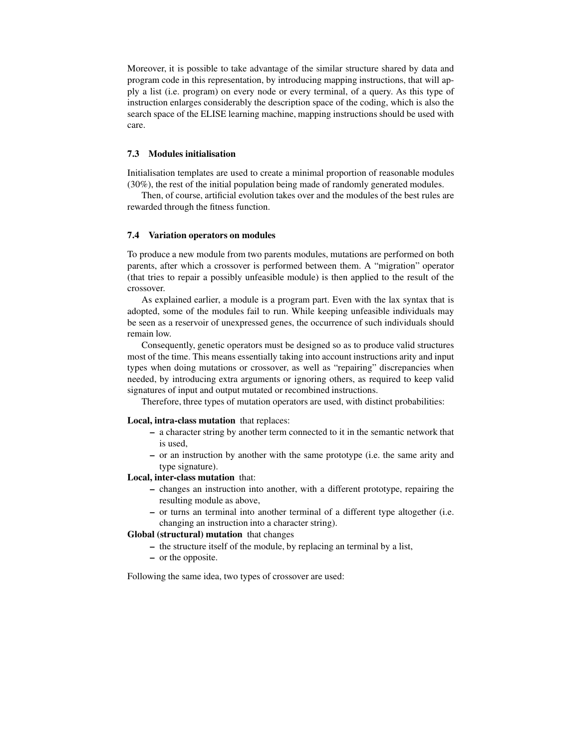Moreover, it is possible to take advantage of the similar structure shared by data and program code in this representation, by introducing mapping instructions, that will apply a list (i.e. program) on every node or every terminal, of a query. As this type of instruction enlarges considerably the description space of the coding, which is also the search space of the ELISE learning machine, mapping instructions should be used with care.

#### **7.3 Modules initialisation**

Initialisation templates are used to create a minimal proportion of reasonable modules (30%), the rest of the initial population being made of randomly generated modules.

Then, of course, artificial evolution takes over and the modules of the best rules are rewarded through the fitness function.

#### **7.4 Variation operators on modules**

To produce a new module from two parents modules, mutations are performed on both parents, after which a crossover is performed between them. A "migration" operator (that tries to repair a possibly unfeasible module) is then applied to the result of the crossover.

As explained earlier, a module is a program part. Even with the lax syntax that is adopted, some of the modules fail to run. While keeping unfeasible individuals may be seen as a reservoir of unexpressed genes, the occurrence of such individuals should remain low.

Consequently, genetic operators must be designed so as to produce valid structures most of the time. This means essentially taking into account instructions arity and input types when doing mutations or crossover, as well as "repairing" discrepancies when needed, by introducing extra arguments or ignoring others, as required to keep valid signatures of input and output mutated or recombined instructions.

Therefore, three types of mutation operators are used, with distinct probabilities:

#### **Local, intra-class mutation** that replaces:

- **–** a character string by another term connected to it in the semantic network that is used,
- **–** or an instruction by another with the same prototype (i.e. the same arity and type signature).

### **Local, inter-class mutation** that:

- **–** changes an instruction into another, with a different prototype, repairing the resulting module as above,
- **–** or turns an terminal into another terminal of a different type altogether (i.e. changing an instruction into a character string).

#### **Global (structural) mutation** that changes

- **–** the structure itself of the module, by replacing an terminal by a list,
- **–** or the opposite.

Following the same idea, two types of crossover are used: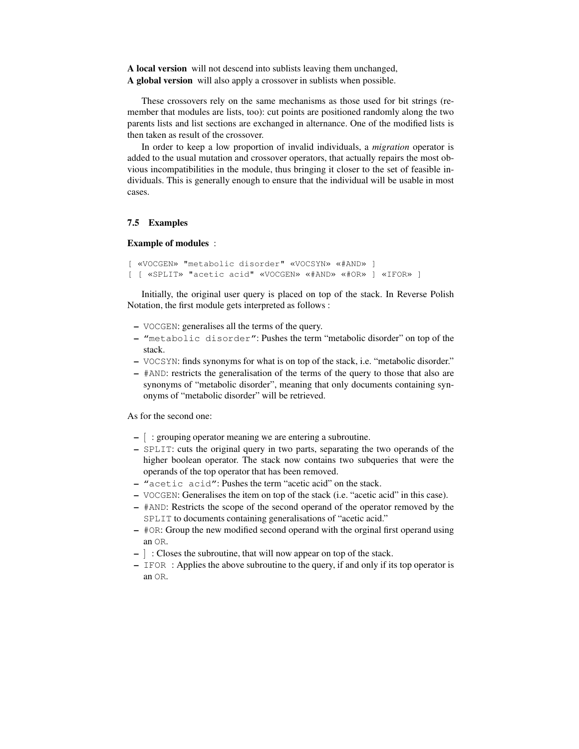**A local version** will not descend into sublists leaving them unchanged, **A global version** will also apply a crossover in sublists when possible.

These crossovers rely on the same mechanisms as those used for bit strings (remember that modules are lists, too): cut points are positioned randomly along the two parents lists and list sections are exchanged in alternance. One of the modified lists is then taken as result of the crossover.

In order to keep a low proportion of invalid individuals, a *migration* operator is added to the usual mutation and crossover operators, that actually repairs the most obvious incompatibilities in the module, thus bringing it closer to the set of feasible individuals. This is generally enough to ensure that the individual will be usable in most cases.

#### **7.5 Examples**

#### **Example of modules** :

```
[ «VOCGEN» "metabolic disorder" «VOCSYN» «#AND» ]
[ [ «SPLIT» "acetic acid" «VOCGEN» «#AND» «#OR» ] «IFOR» ]
```
Initially, the original user query is placed on top of the stack. In Reverse Polish Notation, the first module gets interpreted as follows :

- **–** VOCGEN: generalises all the terms of the query.
- **–** "metabolic disorder": Pushes the term "metabolic disorder" on top of the stack.
- **–** VOCSYN: finds synonyms for what is on top of the stack, i.e. "metabolic disorder."
- **–** #AND: restricts the generalisation of the terms of the query to those that also are synonyms of "metabolic disorder", meaning that only documents containing synonyms of "metabolic disorder" will be retrieved.

As for the second one:

- **–** [ : grouping operator meaning we are entering a subroutine.
- **–** SPLIT: cuts the original query in two parts, separating the two operands of the higher boolean operator. The stack now contains two subqueries that were the operands of the top operator that has been removed.
- **–** "acetic acid": Pushes the term "acetic acid" on the stack.
- **–** VOCGEN: Generalises the item on top of the stack (i.e. "acetic acid" in this case).
- **–** #AND: Restricts the scope of the second operand of the operator removed by the SPLIT to documents containing generalisations of "acetic acid."
- **–** #OR: Group the new modified second operand with the orginal first operand using an OR.
- **–** ] : Closes the subroutine, that will now appear on top of the stack.
- **–** IFOR : Applies the above subroutine to the query, if and only if its top operator is an OR.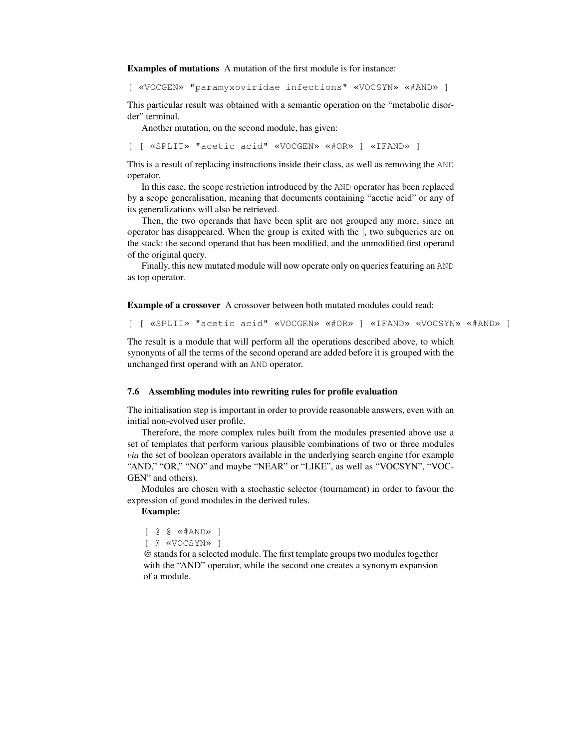**Examples of mutations** A mutation of the first module is for instance:

[ «VOCGEN» "paramyxoviridae infections" «VOCSYN» «#AND» ]

This particular result was obtained with a semantic operation on the "metabolic disorder" terminal.

Another mutation, on the second module, has given:

[ [ «SPLIT» "acetic acid" «VOCGEN» «#OR» ] «IFAND» ]

This is a result of replacing instructions inside their class, as well as removing the AND operator.

In this case, the scope restriction introduced by the AND operator has been replaced by a scope generalisation, meaning that documents containing "acetic acid" or any of its generalizations will also be retrieved.

Then, the two operands that have been split are not grouped any more, since an operator has disappeared. When the group is exited with the ], two subqueries are on the stack: the second operand that has been modified, and the unmodified first operand of the original query.

Finally, this new mutated module will now operate only on queries featuring an AND as top operator.

**Example of a crossover** A crossover between both mutated modules could read:

[ [ «SPLIT» "acetic acid" «VOCGEN» «#OR» ] «IFAND» «VOCSYN» «#AND» ]

The result is a module that will perform all the operations described above, to which synonyms of all the terms of the second operand are added before it is grouped with the unchanged first operand with an AND operator.

#### **7.6 Assembling modules into rewriting rules for profile evaluation**

The initialisation step is important in order to provide reasonable answers, even with an initial non-evolved user profile.

Therefore, the more complex rules built from the modules presented above use a set of templates that perform various plausible combinations of two or three modules *via* the set of boolean operators available in the underlying search engine (for example "AND," "OR," "NO" and maybe "NEAR" or "LIKE", as well as "VOCSYN", "VOC-GEN" and others).

Modules are chosen with a stochastic selector (tournament) in order to favour the expression of good modules in the derived rules.

#### **Example:**

[ @ @ «#AND» ] [ @ «VOCSYN» ]

@ stands for a selected module. The first template groupstwo modulestogether with the "AND" operator, while the second one creates a synonym expansion of a module.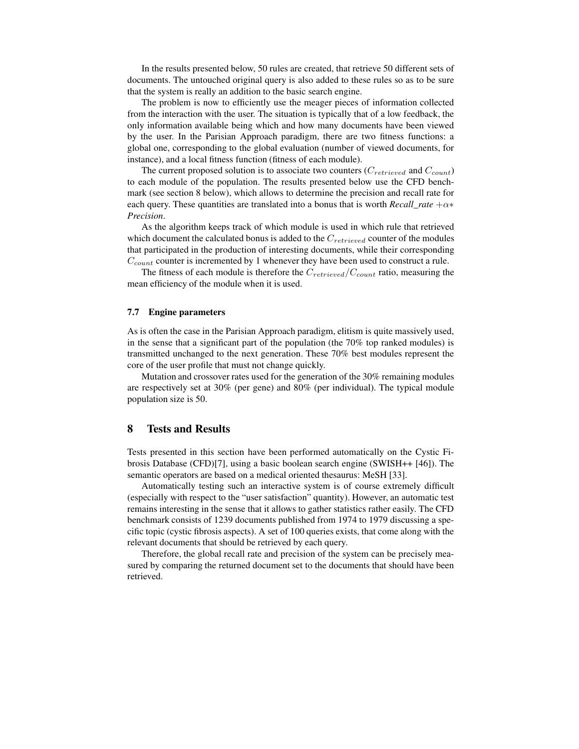In the results presented below, 50 rules are created, that retrieve 50 different sets of documents. The untouched original query is also added to these rules so as to be sure that the system is really an addition to the basic search engine.

The problem is now to efficiently use the meager pieces of information collected from the interaction with the user. The situation is typically that of a low feedback, the only information available being which and how many documents have been viewed by the user. In the Parisian Approach paradigm, there are two fitness functions: a global one, corresponding to the global evaluation (number of viewed documents, for instance), and a local fitness function (fitness of each module).

The current proposed solution is to associate two counters ( $C_{retrieved}$  and  $C_{count}$ ) to each module of the population. The results presented below use the CFD benchmark (see section 8 below), which allows to determine the precision and recall rate for each query. These quantities are translated into a bonus that is worth *Recall\_rate* + $\alpha^*$ *Precision*.

As the algorithm keeps track of which module is used in which rule that retrieved which document the calculated bonus is added to the  $C_{retrieved}$  counter of the modules that participated in the production of interesting documents, while their corresponding  $C_{count}$  counter is incremented by 1 whenever they have been used to construct a rule.

The fitness of each module is therefore the  $C_{retrieved}/C_{count}$  ratio, measuring the mean efficiency of the module when it is used.

#### **7.7 Engine parameters**

As is often the case in the Parisian Approach paradigm, elitism is quite massively used, in the sense that a significant part of the population (the 70% top ranked modules) is transmitted unchanged to the next generation. These 70% best modules represent the core of the user profile that must not change quickly.

Mutation and crossover rates used for the generation of the 30% remaining modules are respectively set at 30% (per gene) and 80% (per individual). The typical module population size is 50.

#### **8 Tests and Results**

Tests presented in this section have been performed automatically on the Cystic Fibrosis Database (CFD)[7], using a basic boolean search engine (SWISH++ [46]). The semantic operators are based on a medical oriented thesaurus: MeSH [33].

Automatically testing such an interactive system is of course extremely difficult (especially with respect to the "user satisfaction" quantity). However, an automatic test remains interesting in the sense that it allows to gather statistics rather easily. The CFD benchmark consists of 1239 documents published from 1974 to 1979 discussing a specific topic (cystic fibrosis aspects). A set of 100 queries exists, that come along with the relevant documents that should be retrieved by each query.

Therefore, the global recall rate and precision of the system can be precisely measured by comparing the returned document set to the documents that should have been retrieved.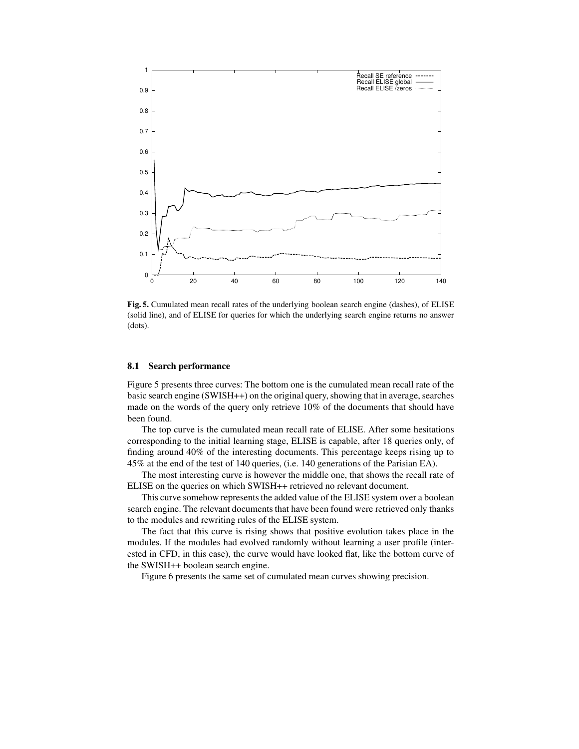

**Fig. 5.** Cumulated mean recall rates of the underlying boolean search engine (dashes), of ELISE (solid line), and of ELISE for queries for which the underlying search engine returns no answer (dots).

#### **8.1 Search performance**

Figure 5 presents three curves: The bottom one is the cumulated mean recall rate of the basic search engine (SWISH++) on the original query, showing that in average, searches made on the words of the query only retrieve 10% of the documents that should have been found.

The top curve is the cumulated mean recall rate of ELISE. After some hesitations corresponding to the initial learning stage, ELISE is capable, after 18 queries only, of finding around 40% of the interesting documents. This percentage keeps rising up to 45% at the end of the test of 140 queries, (i.e. 140 generations of the Parisian EA).

The most interesting curve is however the middle one, that shows the recall rate of ELISE on the queries on which SWISH++ retrieved no relevant document.

This curve somehow represents the added value of the ELISE system over a boolean search engine. The relevant documents that have been found were retrieved only thanks to the modules and rewriting rules of the ELISE system.

The fact that this curve is rising shows that positive evolution takes place in the modules. If the modules had evolved randomly without learning a user profile (interested in CFD, in this case), the curve would have looked flat, like the bottom curve of the SWISH++ boolean search engine.

Figure 6 presents the same set of cumulated mean curves showing precision.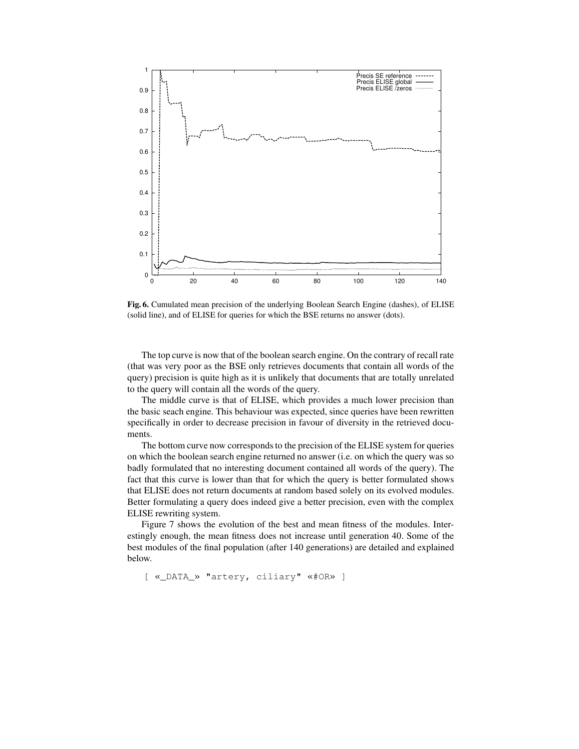

**Fig. 6.** Cumulated mean precision of the underlying Boolean Search Engine (dashes), of ELISE (solid line), and of ELISE for queries for which the BSE returns no answer (dots).

The top curve is now that of the boolean search engine. On the contrary of recall rate (that was very poor as the BSE only retrieves documents that contain all words of the query) precision is quite high as it is unlikely that documents that are totally unrelated to the query will contain all the words of the query.

The middle curve is that of ELISE, which provides a much lower precision than the basic seach engine. This behaviour was expected, since queries have been rewritten specifically in order to decrease precision in favour of diversity in the retrieved documents.

The bottom curve now corresponds to the precision of the ELISE system for queries on which the boolean search engine returned no answer (i.e. on which the query was so badly formulated that no interesting document contained all words of the query). The fact that this curve is lower than that for which the query is better formulated shows that ELISE does not return documents at random based solely on its evolved modules. Better formulating a query does indeed give a better precision, even with the complex ELISE rewriting system.

Figure 7 shows the evolution of the best and mean fitness of the modules. Interestingly enough, the mean fitness does not increase until generation 40. Some of the best modules of the final population (after 140 generations) are detailed and explained below.

[ «\_DATA\_» "artery, ciliary" «#OR» ]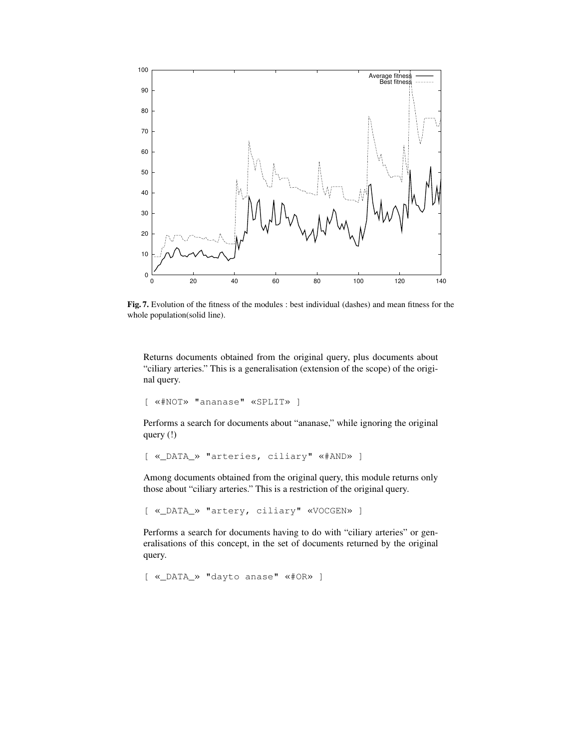

**Fig. 7.** Evolution of the fitness of the modules : best individual (dashes) and mean fitness for the whole population(solid line).

Returns documents obtained from the original query, plus documents about "ciliary arteries." This is a generalisation (extension of the scope) of the original query.

```
[ «#NOT» "ananase" «SPLIT» ]
```
Performs a search for documents about "ananase," while ignoring the original query (!)

```
[ «_DATA_» "arteries, ciliary" «#AND» ]
```
Among documents obtained from the original query, this module returns only those about "ciliary arteries." This is a restriction of the original query.

[ «\_DATA\_» "artery, ciliary" «VOCGEN» ]

Performs a search for documents having to do with "ciliary arteries" or generalisations of this concept, in the set of documents returned by the original query.

```
[ «_DATA_» "dayto anase" «#OR» ]
```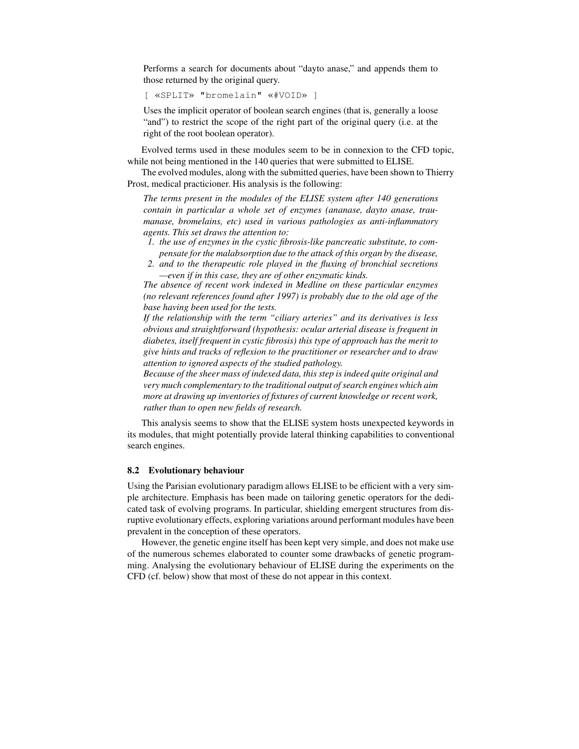Performs a search for documents about "dayto anase," and appends them to those returned by the original query.

[ «SPLIT» "bromelain" «#VOID» ]

Uses the implicit operator of boolean search engines (that is, generally a loose "and") to restrict the scope of the right part of the original query (i.e. at the right of the root boolean operator).

Evolved terms used in these modules seem to be in connexion to the CFD topic, while not being mentioned in the 140 queries that were submitted to ELISE.

The evolved modules, along with the submitted queries, have been shown to Thierry Prost, medical practicioner. His analysis is the following:

*The terms present in the modules of the ELISE system after 140 generations contain in particular a whole set of enzymes (ananase, dayto anase, traumanase, bromelains, etc) used in various pathologies as anti-inflammatory agents. This set draws the attention to:*

- *1. the use of enzymes in the cystic fibrosis-like pancreatic substitute, to compensate for the malabsorption due to the attack of this organ by the disease,*
- *2. and to the therapeutic role played in the fluxing of bronchial secretions —even if in this case, they are of other enzymatic kinds.*

*The absence of recent work indexed in Medline on these particular enzymes (no relevant references found after 1997) is probably due to the old age of the base having been used for the tests.*

*If the relationship with the term "ciliary arteries" and its derivatives is less obvious and straightforward (hypothesis: ocular arterial disease is frequent in diabetes, itself frequent in cystic fibrosis) this type of approach has the merit to give hints and tracks of reflexion to the practitioner or researcher and to draw attention to ignored aspects of the studied pathology.*

*Because of the sheer mass of indexed data, this step is indeed quite original and very much complementary to the traditional output of search engines which aim more at drawing up inventories of fixtures of current knowledge or recent work, rather than to open new fields of research.*

This analysis seems to show that the ELISE system hosts unexpected keywords in its modules, that might potentially provide lateral thinking capabilities to conventional search engines.

#### **8.2 Evolutionary behaviour**

Using the Parisian evolutionary paradigm allows ELISE to be efficient with a very simple architecture. Emphasis has been made on tailoring genetic operators for the dedicated task of evolving programs. In particular, shielding emergent structures from disruptive evolutionary effects, exploring variations around performant modules have been prevalent in the conception of these operators.

However, the genetic engine itself has been kept very simple, and does not make use of the numerous schemes elaborated to counter some drawbacks of genetic programming. Analysing the evolutionary behaviour of ELISE during the experiments on the CFD (cf. below) show that most of these do not appear in this context.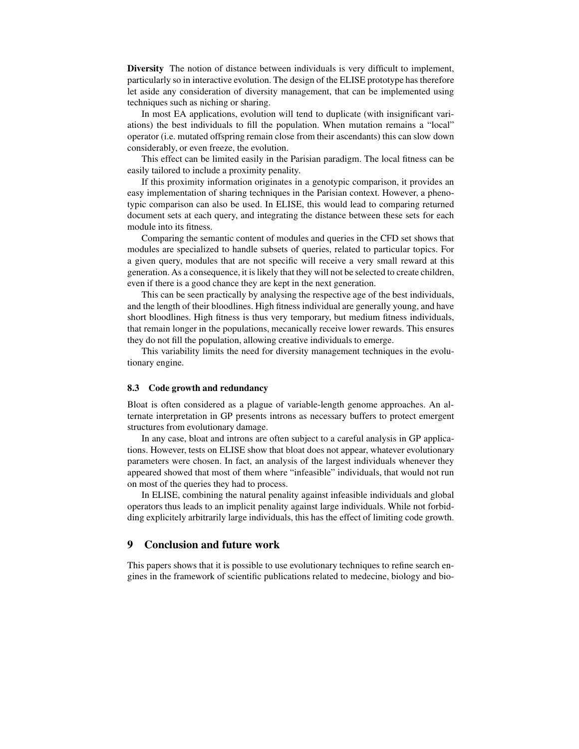**Diversity** The notion of distance between individuals is very difficult to implement, particularly so in interactive evolution. The design of the ELISE prototype has therefore let aside any consideration of diversity management, that can be implemented using techniques such as niching or sharing.

In most EA applications, evolution will tend to duplicate (with insignificant variations) the best individuals to fill the population. When mutation remains a "local" operator (i.e. mutated offspring remain close from their ascendants) this can slow down considerably, or even freeze, the evolution.

This effect can be limited easily in the Parisian paradigm. The local fitness can be easily tailored to include a proximity penality.

If this proximity information originates in a genotypic comparison, it provides an easy implementation of sharing techniques in the Parisian context. However, a phenotypic comparison can also be used. In ELISE, this would lead to comparing returned document sets at each query, and integrating the distance between these sets for each module into its fitness.

Comparing the semantic content of modules and queries in the CFD set shows that modules are specialized to handle subsets of queries, related to particular topics. For a given query, modules that are not specific will receive a very small reward at this generation. As a consequence, it is likely that they will not be selected to create children, even if there is a good chance they are kept in the next generation.

This can be seen practically by analysing the respective age of the best individuals, and the length of their bloodlines. High fitness individual are generally young, and have short bloodlines. High fitness is thus very temporary, but medium fitness individuals, that remain longer in the populations, mecanically receive lower rewards. This ensures they do not fill the population, allowing creative individuals to emerge.

This variability limits the need for diversity management techniques in the evolutionary engine.

#### **8.3 Code growth and redundancy**

Bloat is often considered as a plague of variable-length genome approaches. An alternate interpretation in GP presents introns as necessary buffers to protect emergent structures from evolutionary damage.

In any case, bloat and introns are often subject to a careful analysis in GP applications. However, tests on ELISE show that bloat does not appear, whatever evolutionary parameters were chosen. In fact, an analysis of the largest individuals whenever they appeared showed that most of them where "infeasible" individuals, that would not run on most of the queries they had to process.

In ELISE, combining the natural penality against infeasible individuals and global operators thus leads to an implicit penality against large individuals. While not forbidding explicitely arbitrarily large individuals, this has the effect of limiting code growth.

#### **9 Conclusion and future work**

This papers shows that it is possible to use evolutionary techniques to refine search engines in the framework of scientific publications related to medecine, biology and bio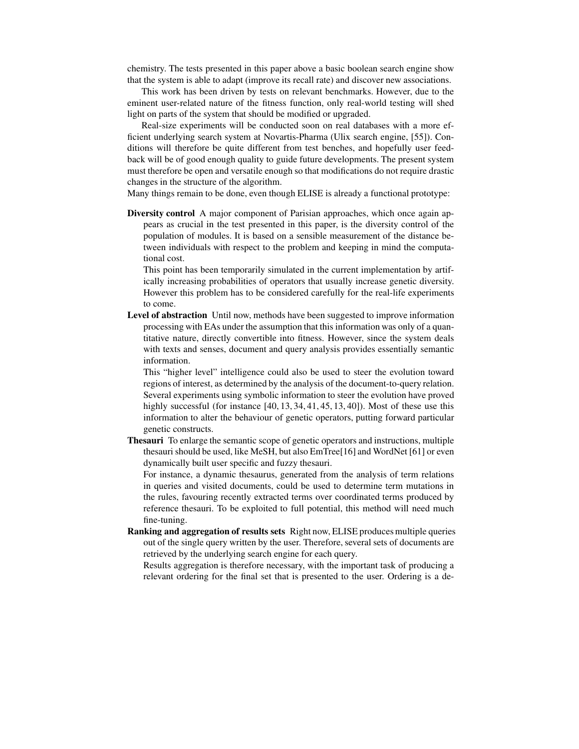chemistry. The tests presented in this paper above a basic boolean search engine show that the system is able to adapt (improve its recall rate) and discover new associations.

This work has been driven by tests on relevant benchmarks. However, due to the eminent user-related nature of the fitness function, only real-world testing will shed light on parts of the system that should be modified or upgraded.

Real-size experiments will be conducted soon on real databases with a more efficient underlying search system at Novartis-Pharma (Ulix search engine, [55]). Conditions will therefore be quite different from test benches, and hopefully user feedback will be of good enough quality to guide future developments. The present system must therefore be open and versatile enough so that modifications do not require drastic changes in the structure of the algorithm.

Many things remain to be done, even though ELISE is already a functional prototype:

**Diversity control** A major component of Parisian approaches, which once again appears as crucial in the test presented in this paper, is the diversity control of the population of modules. It is based on a sensible measurement of the distance between individuals with respect to the problem and keeping in mind the computational cost.

This point has been temporarily simulated in the current implementation by artifically increasing probabilities of operators that usually increase genetic diversity. However this problem has to be considered carefully for the real-life experiments to come.

**Level of abstraction** Until now, methods have been suggested to improve information processing with EAs under the assumption that this information was only of a quantitative nature, directly convertible into fitness. However, since the system deals with texts and senses, document and query analysis provides essentially semantic information.

This "higher level" intelligence could also be used to steer the evolution toward regions of interest, as determined by the analysis of the document-to-query relation. Several experiments using symbolic information to steer the evolution have proved highly successful (for instance [40, 13, 34, 41, 45, 13, 40]). Most of these use this information to alter the behaviour of genetic operators, putting forward particular genetic constructs.

**Thesauri** To enlarge the semantic scope of genetic operators and instructions, multiple thesauri should be used, like MeSH, but also EmTree[16] and WordNet [61] or even dynamically built user specific and fuzzy thesauri.

For instance, a dynamic thesaurus, generated from the analysis of term relations in queries and visited documents, could be used to determine term mutations in the rules, favouring recently extracted terms over coordinated terms produced by reference thesauri. To be exploited to full potential, this method will need much fine-tuning.

**Ranking and aggregation of results sets** Right now, ELISE produces multiple queries out of the single query written by the user. Therefore, several sets of documents are retrieved by the underlying search engine for each query.

Results aggregation is therefore necessary, with the important task of producing a relevant ordering for the final set that is presented to the user. Ordering is a de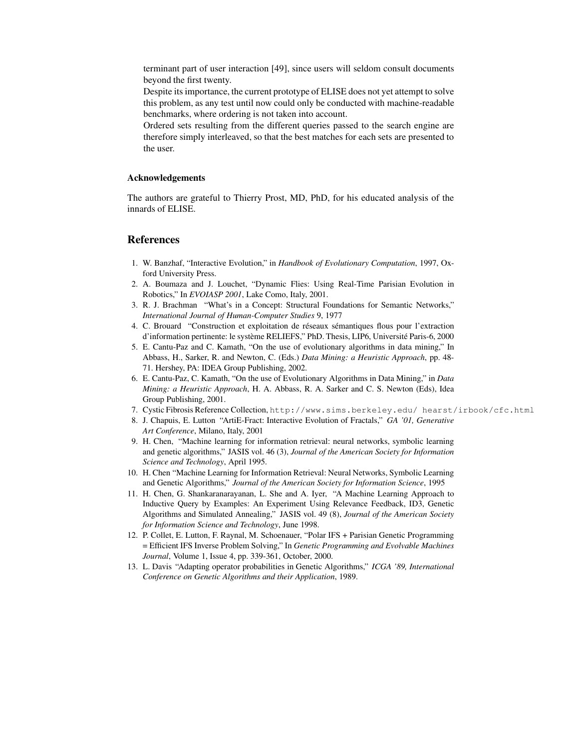terminant part of user interaction [49], since users will seldom consult documents beyond the first twenty.

Despite its importance, the current prototype of ELISE does not yet attempt to solve this problem, as any test until now could only be conducted with machine-readable benchmarks, where ordering is not taken into account.

Ordered sets resulting from the different queries passed to the search engine are therefore simply interleaved, so that the best matches for each sets are presented to the user.

#### **Acknowledgements**

The authors are grateful to Thierry Prost, MD, PhD, for his educated analysis of the innards of ELISE.

### **References**

- 1. W. Banzhaf, "Interactive Evolution," in *Handbook of Evolutionary Computation*, 1997, Oxford University Press.
- 2. A. Boumaza and J. Louchet, "Dynamic Flies: Using Real-Time Parisian Evolution in Robotics," In *EVOIASP 2001*, Lake Como, Italy, 2001.
- 3. R. J. Brachman "What's in a Concept: Structural Foundations for Semantic Networks," *International Journal of Human-Computer Studies* 9, 1977
- 4. C. Brouard "Construction et exploitation de réseaux sémantiques flous pour l'extraction d'information pertinente: le système RELIEFS," PhD. Thesis, LIP6, Université Paris-6, 2000
- 5. E. Cantu-Paz and C. Kamath, "On the use of evolutionary algorithms in data mining," In Abbass, H., Sarker, R. and Newton, C. (Eds.) *Data Mining: a Heuristic Approach*, pp. 48- 71. Hershey, PA: IDEA Group Publishing, 2002.
- 6. E. Cantu-Paz, C. Kamath, "On the use of Evolutionary Algorithms in Data Mining," in *Data Mining: a Heuristic Approach*, H. A. Abbass, R. A. Sarker and C. S. Newton (Eds), Idea Group Publishing, 2001.
- 7. Cystic Fibrosis Reference Collection, http://www.sims.berkeley.edu/ hearst/irbook/cfc.html
- 8. J. Chapuis, E. Lutton "ArtiE-Fract: Interactive Evolution of Fractals," *GA '01, Generative Art Conference*, Milano, Italy, 2001
- 9. H. Chen, "Machine learning for information retrieval: neural networks, symbolic learning and genetic algorithms," JASIS vol. 46 (3), *Journal of the American Society for Information Science and Technology*, April 1995.
- 10. H. Chen "Machine Learning for Information Retrieval: Neural Networks, Symbolic Learning and Genetic Algorithms," *Journal of the American Society for Information Science*, 1995
- 11. H. Chen, G. Shankaranarayanan, L. She and A. Iyer, "A Machine Learning Approach to Inductive Query by Examples: An Experiment Using Relevance Feedback, ID3, Genetic Algorithms and Simulated Annealing," JASIS vol. 49 (8), *Journal of the American Society for Information Science and Technology*, June 1998.
- 12. P. Collet, E. Lutton, F. Raynal, M. Schoenauer, "Polar IFS + Parisian Genetic Programming = Efficient IFS Inverse Problem Solving," In *Genetic Programming and Evolvable Machines Journal*, Volume 1, Issue 4, pp. 339-361, October, 2000.
- 13. L. Davis "Adapting operator probabilities in Genetic Algorithms," *ICGA '89, International Conference on Genetic Algorithms and their Application*, 1989.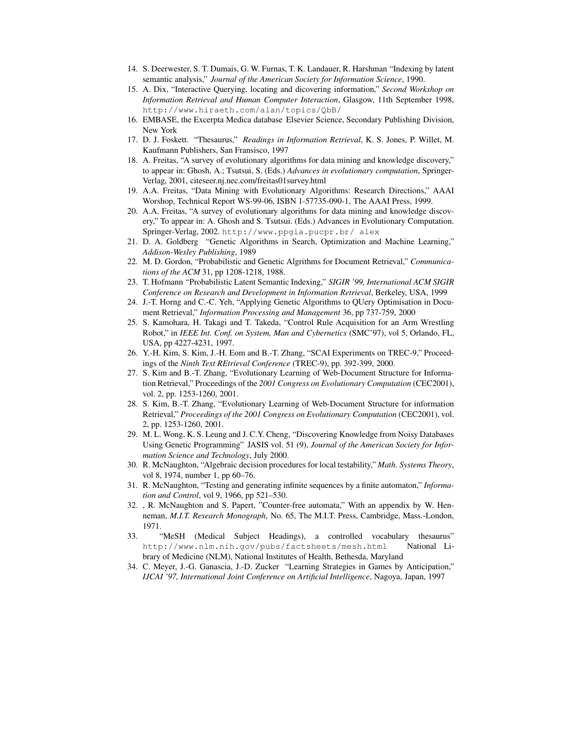- 14. S. Deerwester, S. T. Dumais, G. W. Furnas, T. K. Landauer, R. Harshman "Indexing by latent semantic analysis," *Journal of the American Society for Information Science*, 1990.
- 15. A. Dix, "Interactive Querying, locating and dicovering information," *Second Workshop on Information Retrieval and Human Computer Interaction*, Glasgow, 11th September 1998, http://www.hiraeth.com/alan/topics/QbB/
- 16. EMBASE, the Excerpta Medica database Elsevier Science, Secondary Publishing Division, New York
- 17. D. J. Foskett. "Thesaurus," *Readings in Information Retrieval*, K. S. Jones, P. Willet, M. Kaufmann Publishers, San Fransisco, 1997
- 18. A. Freitas, "A survey of evolutionary algorithms for data mining and knowledge discovery," to appear in: Ghosh, A.; Tsutsui, S. (Eds.) *Advances in evolutionary computation*, Springer-Verlag, 2001, citeseer.nj.nec.com/freitas01survey.html
- 19. A.A. Freitas, "Data Mining with Evolutionary Algorithms: Research Directions," AAAI Worshop, Technical Report WS-99-06, ISBN 1-57735-090-1, The AAAI Press, 1999.
- 20. A.A. Freitas, "A survey of evolutionary algorithms for data mining and knowledge discovery," To appear in: A. Ghosh and S. Tsutsui. (Eds.) Advances in Evolutionary Computation. Springer-Verlag, 2002. http://www.ppgia.pucpr.br/ alex
- 21. D. A. Goldberg "Genetic Algorithms in Search, Optimization and Machine Learning," *Addison-Wesley Publishing*, 1989
- 22. M. D. Gordon, "Probabilistic and Genetic Algrithms for Document Retrieval," *Communications of the ACM* 31, pp 1208-1218, 1988.
- 23. T. Hofmann "Probabilistic Latent Semantic Indexing," *SIGIR '99, International ACM SIGIR Conference on Research and Development in Information Retrieval*, Berkeley, USA, 1999
- 24. J.-T. Horng and C.-C. Yeh, "Applying Genetic Algorithms to QUery Optimisation in Document Retrieval," *Information Processing and Management* 36, pp 737-759, 2000
- 25. S. Kamohara, H. Takagi and T. Takeda, "Control Rule Acquisition for an Arm Wrestling Robot," in *IEEE Int. Conf. on System, Man and Cybernetics* (SMC'97), vol 5, Orlando, FL, USA, pp 4227-4231, 1997.
- 26. Y.-H. Kim, S. Kim, J.-H. Eom and B.-T. Zhang, "SCAI Experiments on TREC-9," Proceedings of the *Ninth Text REtrieval Conference* (TREC-9), pp. 392-399, 2000.
- 27. S. Kim and B.-T. Zhang, "Evolutionary Learning of Web-Document Structure for Information Retrieval," Proceedings of the *2001 Congress on Evolutionary Computation* (CEC2001), vol. 2, pp. 1253-1260, 2001.
- 28. S. Kim, B.-T. Zhang, "Evolutionary Learning of Web-Document Structure for information Retrieval," *Proceedings of the 2001 Congress on Evolutionary Computation* (CEC2001), vol. 2, pp. 1253-1260, 2001.
- 29. M. L. Wong, K. S. Leung and J. C.Y. Cheng, "Discovering Knowledge from Noisy Databases Using Genetic Programming" JASIS vol. 51 (9), *Journal of the American Society for Information Science and Technology*, July 2000.
- 30. R. McNaughton, "Algebraic decision procedures for local testability," *Math. Systems Theory*, vol 8, 1974, number 1, pp 60–76.
- 31. R. McNaughton, "Testing and generating infinite sequences by a finite automaton," *Information and Control*, vol 9, 1966, pp 521–530.
- 32. , R. McNaughton and S. Papert, "Counter-free automata," With an appendix by W. Henneman, *M.I.T. Research Monograph*, No. 65, The M.I.T. Press, Cambridge, Mass.-London, 1971.
- 33. "MeSH (Medical Subject Headings), a controlled vocabulary thesaurus" http://www.nlm.nih.gov/pubs/factsheets/mesh.html National Library of Medicine (NLM), National Institutes of Health, Bethesda, Maryland
- 34. C. Meyer, J.-G. Ganascia, J.-D. Zucker "Learning Strategies in Games by Anticipation," *IJCAI '97, International Joint Conference on Artificial Intelligence*, Nagoya, Japan, 1997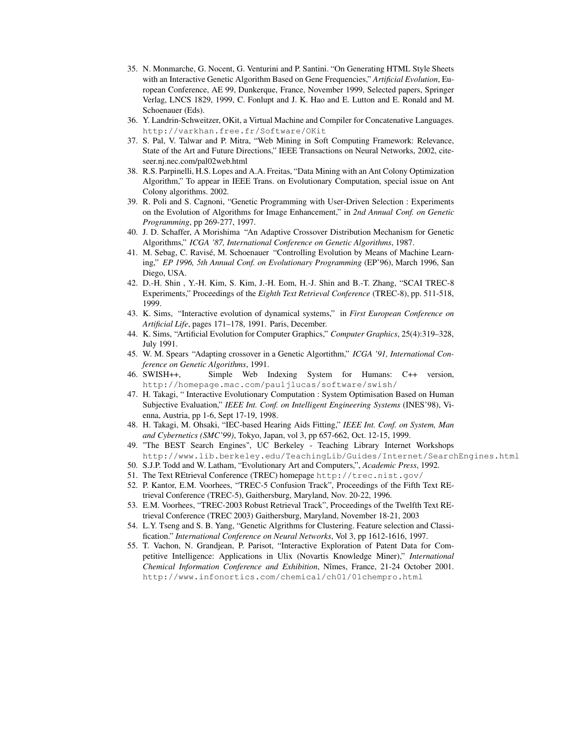- 35. N. Monmarche, G. Nocent, G. Venturini and P. Santini. "On Generating HTML Style Sheets with an Interactive Genetic Algorithm Based on Gene Frequencies," *Artificial Evolution*, European Conference, AE 99, Dunkerque, France, November 1999, Selected papers, Springer Verlag, LNCS 1829, 1999, C. Fonlupt and J. K. Hao and E. Lutton and E. Ronald and M. Schoenauer (Eds).
- 36. Y. Landrin-Schweitzer, OKit, a Virtual Machine and Compiler for Concatenative Languages. http://varkhan.free.fr/Software/OKit
- 37. S. Pal, V. Talwar and P. Mitra, "Web Mining in Soft Computing Framework: Relevance, State of the Art and Future Directions," IEEE Transactions on Neural Networks, 2002, citeseer.nj.nec.com/pal02web.html
- 38. R.S. Parpinelli, H.S. Lopes and A.A. Freitas, "Data Mining with an Ant Colony Optimization Algorithm," To appear in IEEE Trans. on Evolutionary Computation, special issue on Ant Colony algorithms. 2002.
- 39. R. Poli and S. Cagnoni, "Genetic Programming with User-Driven Selection : Experiments on the Evolution of Algorithms for Image Enhancement," in *2nd Annual Conf. on Genetic Programming*, pp 269-277, 1997.
- 40. J. D. Schaffer, A Morishima "An Adaptive Crossover Distribution Mechanism for Genetic Algorithms," *ICGA '87, International Conference on Genetic Algorithms*, 1987.
- 41. M. Sebag, C. Ravisé, M. Schoenauer "Controlling Evolution by Means of Machine Learning," *EP 1996, 5th Annual Conf. on Evolutionary Programming* (EP'96), March 1996, San Diego, USA.
- 42. D.-H. Shin , Y.-H. Kim, S. Kim, J.-H. Eom, H.-J. Shin and B.-T. Zhang, "SCAI TREC-8 Experiments," Proceedings of the *Eighth Text Retrieval Conference* (TREC-8), pp. 511-518, 1999.
- 43. K. Sims, "Interactive evolution of dynamical systems," in *First European Conference on Artificial Life*, pages 171–178, 1991. Paris, December.
- 44. K. Sims, "Artificial Evolution for Computer Graphics," *Computer Graphics*, 25(4):319–328, July 1991.
- 45. W. M. Spears "Adapting crossover in a Genetic Algortithm," *ICGA '91, International Conference on Genetic Algorithms*, 1991.
- 46. SWISH++, Simple Web Indexing System for Humans: C++ version, http://homepage.mac.com/pauljlucas/software/swish/
- 47. H. Takagi, " Interactive Evolutionary Computation : System Optimisation Based on Human Subjective Evaluation," *IEEE Int. Conf. on Intelligent Engineering Systems* (INES'98), Vienna, Austria, pp 1-6, Sept 17-19, 1998.
- 48. H. Takagi, M. Ohsaki, "IEC-based Hearing Aids Fitting," *IEEE Int. Conf. on System, Man and Cybernetics (SMC'99)*, Tokyo, Japan, vol 3, pp 657-662, Oct. 12-15, 1999.
- 49. "The BEST Search Engines", UC Berkeley Teaching Library Internet Workshops http://www.lib.berkeley.edu/TeachingLib/Guides/Internet/SearchEngines.html
- 50. S.J.P. Todd and W. Latham, "Evolutionary Art and Computers,", *Academic Press*, 1992.
- 51. The Text REtrieval Conference (TREC) homepage http://trec.nist.gov/
- 52. P. Kantor, E.M. Voorhees, "TREC-5 Confusion Track", Proceedings of the Fifth Text REtrieval Conference (TREC-5), Gaithersburg, Maryland, Nov. 20-22, 1996.
- 53. E.M. Voorhees, "TREC-2003 Robust Retrieval Track", Proceedings of the Twelfth Text REtrieval Conference (TREC 2003) Gaithersburg, Maryland, November 18-21, 2003
- 54. L.Y. Tseng and S. B. Yang, "Genetic Algrithms for Clustering. Feature selection and Classification." *International Conference on Neural Networks*, Vol 3, pp 1612-1616, 1997.
- 55. T. Vachon, N. Grandjean, P. Parisot, "Interactive Exploration of Patent Data for Competitive Intelligence: Applications in Ulix (Novartis Knowledge Miner)," *International Chemical Information Conference and Exhibition*, Nîmes, France, 21-24 October 2001. http://www.infonortics.com/chemical/ch01/01chempro.html